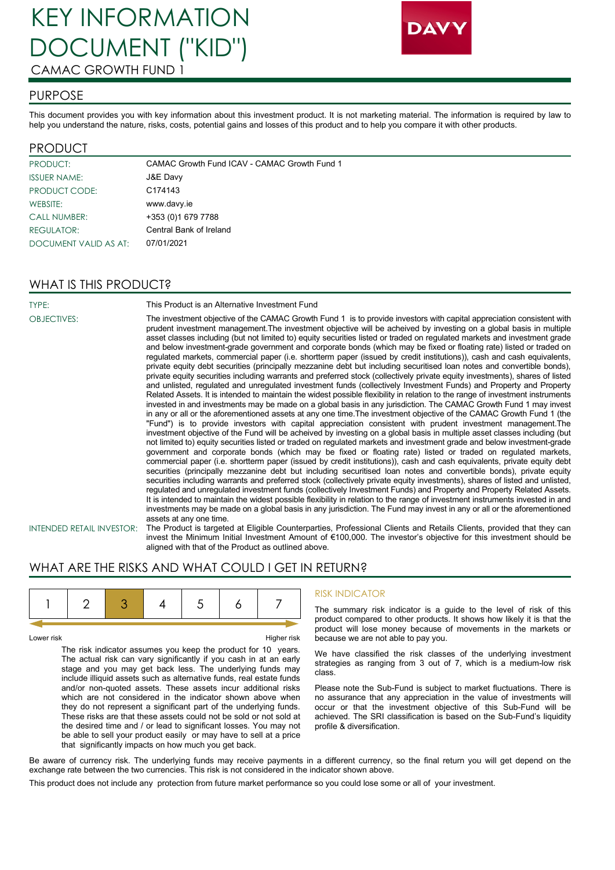# KEY INFORMATION DOCUMENT ("KID") CAMAC GROWTH FUND 1



## PURPOSE

This document provides you with key information about this investment product. It is not marketing material. The information is required by law to help you understand the nature, risks, costs, potential gains and losses of this product and to help you compare it with other products.

## PRODUCT

| <b>PRODUCT:</b>       | CAMAC Growth Fund ICAV - CAMAC Growth Fund 1 |
|-----------------------|----------------------------------------------|
| <b>ISSUER NAME:</b>   | J&E Davy                                     |
| PRODUCT CODE:         | C174143                                      |
| WEBSITE:              | www.davy.ie                                  |
| <b>CALL NUMBER:</b>   | +353 (0) 1679 7788                           |
| <b>REGULATOR:</b>     | Central Bank of Ireland                      |
| DOCUMENT VALID AS AT: | 07/01/2021                                   |

## WHAT IS THIS PRODUCT?

TYPE: This Product is an Alternative Investment Fund

OBJECTIVES: The investment objective of the CAMAC Growth Fund 1 is to provide investors with capital appreciation consistent with prudent investment management.The investment objective will be acheived by investing on a global basis in multiple asset classes including (but not limited to) equity securities listed or traded on regulated markets and investment grade and below investment-grade government and corporate bonds (which may be fixed or floating rate) listed or traded on regulated markets, commercial paper (i.e. shortterm paper (issued by credit institutions)), cash and cash equivalents, private equity debt securities (principally mezzanine debt but including securitised loan notes and convertible bonds), private equity securities including warrants and preferred stock (collectively private equity investments), shares of listed and unlisted, regulated and unregulated investment funds (collectively Investment Funds) and Property and Property Related Assets. It is intended to maintain the widest possible flexibility in relation to the range of investment instruments invested in and investments may be made on a global basis in any jurisdiction. The CAMAC Growth Fund 1 may invest in any or all or the aforementioned assets at any one time.The investment objective of the CAMAC Growth Fund 1 (the "Fund") is to provide investors with capital appreciation consistent with prudent investment management.The investment objective of the Fund will be acheived by investing on a global basis in multiple asset classes including (but not limited to) equity securities listed or traded on regulated markets and investment grade and below investment-grade government and corporate bonds (which may be fixed or floating rate) listed or traded on regulated markets, commercial paper (i.e. shortterm paper (issued by credit institutions)), cash and cash equivalents, private equity debt securities (principally mezzanine debt but including securitised loan notes and convertible bonds), private equity securities including warrants and preferred stock (collectively private equity investments), shares of listed and unlisted, regulated and unregulated investment funds (collectively Investment Funds) and Property and Property Related Assets. It is intended to maintain the widest possible flexibility in relation to the range of investment instruments invested in and investments may be made on a global basis in any jurisdiction. The Fund may invest in any or all or the aforementioned assets at any one time.

INTENDED RETAIL INVESTOR: The Product is targeted at Eligible Counterparties, Professional Clients and Retails Clients, provided that they can invest the Minimum Initial Investment Amount of €100,000. The investor's objective for this investment should be aligned with that of the Product as outlined above.

## WHAT ARE THE RISKS AND WHAT COULD I GET IN RETURN?

Lower risk Fight Research Control of the Higher risk Higher risk

The risk indicator assumes you keep the product for 10 years. The actual risk can vary significantly if you cash in at an early stage and you may get back less. The underlying funds may include illiquid assets such as alternative funds, real estate funds and/or non-quoted assets. These assets incur additional risks which are not considered in the indicator shown above when they do not represent a significant part of the underlying funds. These risks are that these assets could not be sold or not sold at the desired time and / or lead to significant losses. You may not be able to sell your product easily or may have to sell at a price that significantly impacts on how much you get back.

### RISK INDICATOR

The summary risk indicator is a guide to the level of risk of this product compared to other products. It shows how likely it is that the product will lose money because of movements in the markets or because we are not able to pay you.

We have classified the risk classes of the underlying investment strategies as ranging from 3 out of 7, which is a medium-low risk class.

Please note the Sub-Fund is subject to market fluctuations. There is no assurance that any appreciation in the value of investments will occur or that the investment objective of this Sub-Fund will be achieved. The SRI classification is based on the Sub-Fund's liquidity profile & diversification.

Be aware of currency risk. The underlying funds may receive payments in a different currency, so the final return you will get depend on the exchange rate between the two currencies. This risk is not considered in the indicator shown above.

This product does not include any protection from future market performance so you could lose some or all of your investment.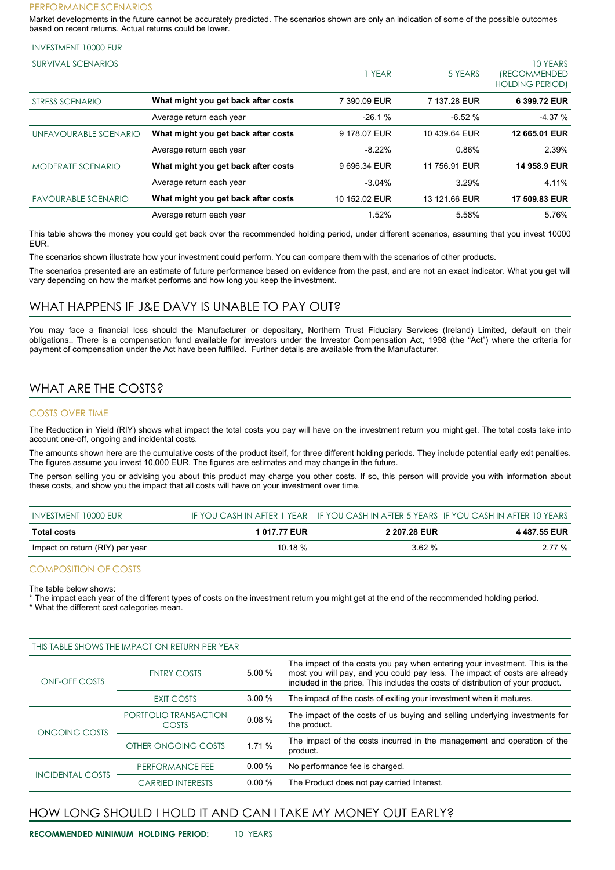#### PERFORMANCE SCENARIOS

Market developments in the future cannot be accurately predicted. The scenarios shown are only an indication of some of the possible outcomes based on recent returns. Actual returns could be lower.

| <b>SURVIVAL SCENARIOS</b>  |                                     | YEAR          | 5 YEARS       | 10 YEARS<br><i><b>(RECOMMENDED)</b></i><br><b>HOLDING PERIOD)</b> |
|----------------------------|-------------------------------------|---------------|---------------|-------------------------------------------------------------------|
| STRESS SCENARIO            | What might you get back after costs | 7 390.09 EUR  | 7 137.28 EUR  | 6 399.72 EUR                                                      |
|                            | Average return each year            | $-26.1%$      | $-6.52%$      | $-4.37%$                                                          |
| UNFAVOURABLE SCENARIO      | What might you get back after costs | 9 178.07 EUR  | 10 439.64 EUR | 12 665.01 EUR                                                     |
|                            | Average return each year            | $-8.22%$      | 0.86%         | 2.39%                                                             |
| <b>MODERATE SCENARIO</b>   | What might you get back after costs | 9 696.34 EUR  | 11 756.91 EUR | 14 958.9 EUR                                                      |
|                            | Average return each year            | $-3.04%$      | 3.29%         | 4.11%                                                             |
| <b>FAVOURABLE SCENARIO</b> | What might you get back after costs | 10 152.02 EUR | 13 121.66 EUR | 17 509.83 EUR                                                     |
|                            | Average return each year            | 1.52%         | 5.58%         | 5.76%                                                             |

This table shows the money you could get back over the recommended holding period, under different scenarios, assuming that you invest 10000 EUR.

The scenarios shown illustrate how your investment could perform. You can compare them with the scenarios of other products.

The scenarios presented are an estimate of future performance based on evidence from the past, and are not an exact indicator. What you get will vary depending on how the market performs and how long you keep the investment.

## WHAT HAPPENS IF J&E DAVY IS UNABLE TO PAY OUT?

You may face a financial loss should the Manufacturer or depositary, Northern Trust Fiduciary Services (Ireland) Limited, default on their obligations.. There is a compensation fund available for investors under the Investor Compensation Act, 1998 (the "Act") where the criteria for payment of compensation under the Act have been fulfilled. Further details are available from the Manufacturer.

## WHAT ARE THE COSTS?

### COSTS OVER TIME

The Reduction in Yield (RIY) shows what impact the total costs you pay will have on the investment return you might get. The total costs take into account one-off, ongoing and incidental costs.

The amounts shown here are the cumulative costs of the product itself, for three different holding periods. They include potential early exit penalties. The figures assume you invest 10,000 EUR. The figures are estimates and may change in the future.

The person selling you or advising you about this product may charge you other costs. If so, this person will provide you with information about these costs, and show you the impact that all costs will have on your investment over time.

| INVESTMENT 10000 EUR            |              |                     | IF YOU CASH IN AFTER 1 YEAR IF YOU CASH IN AFTER 5 YEARS IF YOU CASH IN AFTER 10 YEARS |
|---------------------------------|--------------|---------------------|----------------------------------------------------------------------------------------|
| <b>Total costs</b>              | 1 017.77 EUR | <b>2 207.28 EUR</b> | 4 487 55 EUR                                                                           |
| Impact on return (RIY) per year | 10.18 %      | 3.62%               | 2.77 %                                                                                 |

### COMPOSITION OF COSTS

The table below shows:

The impact each year of the different types of costs on the investment return you might get at the end of the recommended holding period.

\* What the different cost categories mean.

|                         | THIS TABLE SHOWS THE IMPACT ON RETURN PER YEAR |          |                                                                                                                                                                                                                                             |  |
|-------------------------|------------------------------------------------|----------|---------------------------------------------------------------------------------------------------------------------------------------------------------------------------------------------------------------------------------------------|--|
| ONE-OFF COSTS           | <b>ENTRY COSTS</b>                             | 5.00%    | The impact of the costs you pay when entering your investment. This is the<br>most you will pay, and you could pay less. The impact of costs are already<br>included in the price. This includes the costs of distribution of your product. |  |
|                         | EXIT COSTS                                     | 3.00%    | The impact of the costs of exiting your investment when it matures.                                                                                                                                                                         |  |
| ONGOING COSTS           | PORTFOLIO TRANSACTION<br>COSTS                 | 0.08%    | The impact of the costs of us buying and selling underlying investments for<br>the product.                                                                                                                                                 |  |
|                         | OTHER ONGOING COSTS                            | 1.71 %   | The impact of the costs incurred in the management and operation of the<br>product.                                                                                                                                                         |  |
| <b>INCIDENTAL COSTS</b> | PERFORMANCE FEE                                | $0.00\%$ | No performance fee is charged.                                                                                                                                                                                                              |  |
|                         | <b>CARRIED INTERESTS</b>                       | 0.00 %   | The Product does not pay carried Interest.                                                                                                                                                                                                  |  |

## HOW LONG SHOULD I HOLD IT AND CAN I TAKE MY MONEY OUT EARLY?